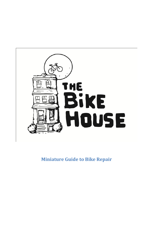

**Miniature Guide to Bike Repair**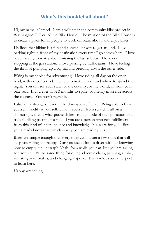# **What's this booklet all about?**

Hi, my name is Jameel. I am a volunteer at a community bike project in Washington, DC called the Bike House. The mission of the Bike House is to create a place for all people to work on, learn about, and enjoy bikes.

I believe that biking is a fun and convenient way to get around. I love parking right in front of my destination every time I go somewhere. I love never having to worry about missing the last subway. I love never stopping at the gas station. I love passing by traffic jams. I love feeling the thrill of pumping up a big hill and breezing down the other side.

Biking is my choice for adventuring. I love riding all day on the open road, with no concerns but where to make dinner and where to spend the night. You can see your state, or the country, or the world, all from your bike seat. If you ever have 3 months to spare, you really must ride across the country. You won't regret it.

I also am a strong believer in the do-it-yourself ethic. Being able to fix it yourself, modify it yourself, build it yourself from scratch... all on a shoestring... that is what pushes bikes from a mode of transportation to a truly fulfilling pastime for me. If you are a person who gets fulfillment from this kind of independence and knowledge, bikes are for you. But you already know that, which is why you are reading this.

Bikes are simple enough that every rider can master a few skills that will keep you riding and happy. Can you use a clothes dryer without knowing how to empty the lint trap? Yeah, for a while you can, but you are asking for trouble. It's the same thing for oiling a bicycle chain, patching a tube, adjusting your brakes, and changing a spoke. That's what you can expect to learn here.

Happy wrenching!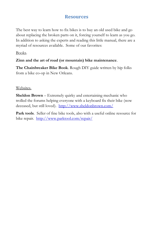## **Resources**

The best way to learn how to fix bikes is to buy an old used bike and go about replacing the broken parts on it, forcing yourself to learn as you go. In addition to asking the experts and reading this little manual, there are a myriad of resources available. Some of our favorites:

#### Books.

#### **Zinn and the art of road (or mountain) bike maintenance**.

**The Chainbreaker Bike Book**. Rough DIY guide written by hip folks from a bike co-op in New Orleans.

#### Websites.

**Sheldon Brown** – Extremely quirky and entertaining mechanic who trolled the forums helping everyone with a keyboard fix their bike (now deceased, but still loved). <http://www.sheldonbrown.com/>

**Park tools**. Seller of fine bike tools, also with a useful online resource for bike repair. <http://www.parktool.com/repair/>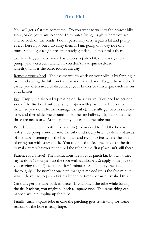# **Fix a Flat**

You will get a flat tire sometime. Do you want to walk to the nearest bike store, or do you want to spend 15 minutes fixing it right where you are, and be back on the road? I don't personally carry a patch kit and pump everywhere I go, but I do carry them if I am going on a day ride or a tour. Since I got tough tires that rarely get flats, I almost miss them.

To fix a flat, you need some basic tools: a patch kit, tire levers, and a pump (and a crescent wrench if you don't have quick-release wheels). This is the basic toolset anyway.

Remove your wheel. The easiest way to work on your bike is by flipping it over and setting the bike on the seat and handlebars. To get the wheel off easily, you often need to disconnect your brakes or turn a quick-release on your brakes.

Pry. Empty the air out by pressing on the air valve. You need to get one side of the tire bead out by prying it open with plastic tire levers (not metal, so you don't further damage the tube). I usually get two in side-byside, and then slide one around to get the tire halfway off, but sometimes three are necessary. At this point, you can pull the tube out.

Be a detective (with both tube and tire). You need to find the hole (or holes). So pump some air into the tube and slowly listen to different areas of the tube, listening for the hiss of air and trying to feel where the air is blowing out with your cheek. You also need to feel the inside of the tire to make sure whatever punctured the tube in the first place isn't still there.

Patience is a virtue! The instructions are in your patch kit, but what they say to do is 1) roughen up the spot with sandpaper, 2) apply some glue or vulcanizing fluid, 3) be patient for 5 minutes, and 4) apply the patch thoroughly. The number one step that gets messed up is the five minute wait. I have had to patch twice a bunch of times because I rushed this.

Carefully get the tube back in place. If you pinch the tube while forcing the tire back on, you might be back to square one. The same thing can happen while pumping up the tube.

Finally, carry a spare tube in case the patching gets frustrating for some reason, or the hole is really large.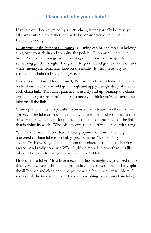# **Clean and lube your chain!**

If you've ever been stymied by a rusty chain, it was partially because your bike was out in the weather, but partially because you didn't lube it frequently enough.

Clean your chain, but not too much. Cleaning can be as simple as holding a rag over your chain and spinning the pedals. Or spray a little with a hose. You could even go as far as using some household soap. Use something gentle, though. The goal is to get dirt and grime off the outside while leaving any remaining lube on the inside. It's not necessary to remove the chain and soak in degreaser.

One drop at a time. Once cleaned, it's time to lube the chain. The really meticulous mechanic would go through and apply a single drop of lube to each chain link. That takes patience. I usually end up spinning the chain while applying a stream of lube. Stop once you think you've gotten some lube on all the links.

Clean up afterwards! Especially if you used the "stream" method, you've got way more lube on your chain than you need. Any lube on the outside of your chain will only pick up dirt. It's the lube on the inside of the links that is doing its work. Wipe off any excess lube off the outside with a rag.

What lube to use? I don't have a strong opinion on this. Anything marketed as chain lube is probably great, whether "wet" or "dry" styles. Tri-Flow is a good, and common product. Just don't use bearing grease. And really don't use WD-40 (this is more like soap than it is like oil - quickest way to rust your chain is to use WD-40).

How often to lube? Most bike mechanics books might say you need to do this every few weeks, but many cyclists have never ever done it. I say split the difference and clean and lube your chain a few times a year. More if you ride all the time in the rain (the rain is washing away your chain lube).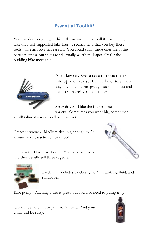# **Essential Toolkit!**

You can do everything in this little manual with a toolkit small enough to take on a self-supported bike tour. I recommend that you buy these tools. The last four have a star. You could claim these ones aren't the bare essentials, but they are still totally worth it. Especially for the budding bike mechanic.



Allen key set. Get a seven-in-one metric fold up allen key set from a bike store -- that way it will be metric (pretty much all bikes) and focus on the relevant bikes sizes.

Screwdriver. I like the four-in-one variety. Sometimes you want big, sometimes

small! (almost always phillips, however)

and they usually sell three together.

Crescent wrench. Medium size, big enough to fit around your cassette removal tool.

Tire levers. Plastic are better. You need at least 2,





Patch kit. Includes patches, glue / vulcanizing fluid, and sandpaper.

Bike pump. Patching a tire is great, but you also need to pump it up!

Chain lube. Own it or you won't use it. And your chain will be rusty.

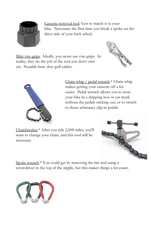

Cassette removal tool. Got to match it to your bike. Necessary the first time you break a spoke on the drive side of your back wheel.

Mini vise-grips. Ideally, you never use vise-grips. In reality, they do the job of the tool you don't own yet. Notable here, they pull cables.





Chain whip / pedal wrench.\* Chain whip makes getting your cassette off a lot easier. Pedal wrench allows you to stow your bike in a shipping box or car trunk without the pedals sticking out, or to switch to those schmancy clip-in pedals.

Chainbreaker.\* After you ride 2,000 miles, you'll want to change your chain, and this tool will be necessary.



Spoke wrench.\* You could get by removing the tire and using a screwdriver in the top of the nipple, but this makes things a lot easier.

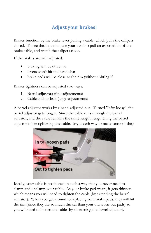# **Adjust your brakes!**

Brakes function by the brake lever pulling a cable, which pulls the calipers closed. To see this in action, use your hand to pull an exposed bit of the brake cable, and watch the calipers close.

If the brakes are well adjusted:

- braking will be effective
- levers won't hit the handlebar
- brake pads will be close to the rim (without hitting it)

Brakes tightness can be adjusted two ways:

- 1. Barrel adjustors (fine adjustments)
- 2. Cable anchor bolt (large adjustments)

A barrel adjustor works by a hand-adjusted nut. Turned "lefty-loosy", the barrel adjustor gets longer. Since the cable runs through the barrel adjustor, and the cable remains the same length, lengthening the barrel adjustor is like tightening the cable. (try it each way to make sense of this)



Ideally, your cable is positioned in such a way that you never need to clamp and unclamp your cable. As your brake pad wears, it gets thinner, which means you will need to tighten the cable (by extending the barrel adjustor). When you get around to replacing your brake pads, they will hit the rim (since they are so much thicker than your old worn-out pads) so you will need to loosen the cable (by shortening the barrel adjustor).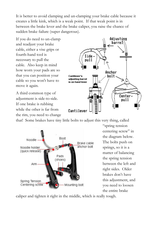It is better to avoid clamping and un-clamping your brake cable because it creates a little kink, which is a weak point. If that weak point is in between the brake lever and the brake caliper, you raise the chance of sudden brake failure (super dangerous).

If you do need to un-clamp and readjust your brake cable, either a vise grips or fourth-hand tool is necessary to pull the cable. Also keep in mind how worn your pads are so that you can position your cable so you won't have to move it again.

A third common type of adjustment is side-to-side. If one brake is rubbing while the other is far from the rim, you need to change



that! Some brakes have tiny little bolts to adjust this very thing, called



"spring tension centering screw" in the diagram below. The bolts push on springs, so it is a matter of balancing the spring tension between the left and right sides. Older brakes don't have this adjustment, and you need to loosen the entire brake

caliper and tighten it right in the middle, which is really tough.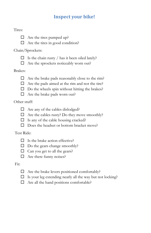# **Inspect your bike!**

#### Tires:



 $\Box$  Are the tires in good condition?

## Chain/Sprockets:

- $\Box$  Is the chain rusty / has it been oiled lately?
- $\Box$  Are the sprockets noticeably worn out?

### Brakes:

- $\Box$  Are the brake pads reasonably close to the rim?
- $\Box$  Are the pads aimed at the rim and not the tire?
- $\square$  Do the wheels spin without hitting the brakes?
- $\Box$  Are the brake pads worn out?

## Other stuff:

- $\Box$  Are any of the cables dislodged?
- $\Box$  Are the cables rusty? Do they move smoothly?
- $\Box$  Is any of the cable housing cracked?
- $\Box$  Does the headset or bottom bracket move?

## Test Ride:

- $\Box$  Is the brake action effective?
- $\Box$  Do the gears change smoothly?
- $\Box$  Can you get to all the gears?
- $\Box$  Are there funny noises?

## Fit:

- $\Box$  Are the brake levers positioned comfortably?
- $\Box$  Is your leg extending nearly all the way but not locking?
- $\Box$  Are all the hand positions comfortable?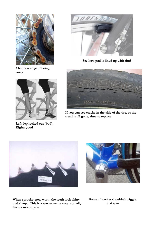





**See how pad is lined up with rim?**



**Left: leg locked out (bad), Right: good**



**If you can see cracks in the side of the tire, or the tread is all gone, time to replace**





**When sprocket gets worn, the teeth look shiny and sharp. This is a way extreme case, actually from a motorcycle**

**Bottom bracket shouldn't wiggle, just spin**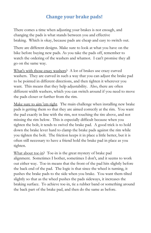# **Change your brake pads!**

There comes a time when adjusting your brakes is not enough, and changing the pads is what stands between you and effective braking. Which is okay, because pads are cheap and easy to switch out.

There are different designs. Make sure to look at what you have on the bike before buying new pads. As you take the pads off, remember to watch the ordering of the washers and whatnot. I can't promise they all go on the same way.

What's with those crazy washers? A lot of brakes use crazy curved washers. They are curved in such a way that you can adjust the brake pad to be pointed in different directions, and then tighten it wherever you want. This means that they help adjustability. Also, there are often different width washers, which you can switch around if you need to move the pads closer or further from the rim.

Make sure to aim 'em right. The main challenge when installing new brake pads is getting them so that they are aimed correctly at the rim. You want the pad exactly in line with the rim, not touching the tire above, and not missing the rim below. This is especially difficult because when you tighten the bolt, it tends to swivel the brake pad. A good trick is to hold down the brake lever hard to clamp the brake pads against the rim while you tighten the bolt. The friction keeps it in place a little better, but it is often still necessary to have a friend hold the brake pad in place as you tighten.

What about toe-in? Toe-in is the great mystery of brake pad alignment. Sometimes I bother, sometimes I don't, and it seems to work out either way. Toe-in means that the front of the pad hits slightly before the back end of the pad. The logic is that since the wheel is turning, it pushes the brake pads to the side when you brake. You want them tilted slightly so that as the wheel pushes the pads sideways, it increases the braking surface. To achieve toe-in, tie a rubber band or something around the back part of the brake pad, and then do the same as before.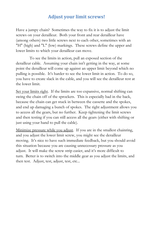## **Adjust your limit screws!**

Have a jumpy chain? Sometimes the way to fix it is to adjust the limit screws on your derailleur. Both your front and rear derailleur have (among others) two little screws next to each other, sometimes with an "H" (high) and "L" (low) markings. These screws define the upper and lower limits to which your derailleur can move.

To see the limits in action, pull an exposed section of the derailleur cable. Assuming your chain isn't getting in the way, at some point the derailleur will come up against an upper limit beyond which no pulling is possible. It's harder to see the lower limit in action. To do so, you have to create slack in the cable, and you will see the derailleur rest at the lower limit.

Set your limits right. If the limits are too expansive, normal shifting can swing the chain off of the sprockets. This is especially bad in the back, because the chain can get stuck in between the cassette and the spokes, and end up damaging a bunch of spokes. The right adjustment allows you to access all the gears, but no further. Keep tightening the limit screws and then testing if you can still access all the gears (either with shifting or just using your hand to pull the cable).

Minimize pressure while you adjust. If you are in the smallest chainring, and you adjust the lower limit screw, you might see the derailleur moving. It's nice to have such immediate feedback, but you should avoid this situation because you are causing unnecessary pressure as you adjust. It will make the screw strip easier, and it's more difficult to turn. Better is to switch into the middle gear as you adjust the limits, and then test. Adjust, test, adjust, test, etc...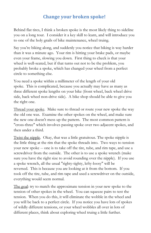# **Change your broken spoke!**

Behind flat tires, I think a broken spoke is the most likely thing to sideline you on a long tour. I consider it a key skill to learn, and will introduce you to one of the holy grails of bike maintenance, wheel truing.

Say you're biking along, and suddenly you notice that biking is way harder than it was a minute ago. Your rim is hitting your brake pads, or maybe even your frame, slowing you down. First thing to check is that your wheel is well-seated, but if that turns out not to be the problem, you probably broke a spoke, which has changed your wheel from a perfect circle to something else.

You need a spoke within a millimeter of the length of your old spoke. This is complicated, because you actually may have as many as three different spoke lengths on your bike (front wheel, back wheel drive side, back wheel non-drive side). A bike shop should be able to give you the right one.

Thread your spoke. Make sure to thread or route your new spoke the way the old one was. Examine the other spokes on the wheel, and make sure the new one doesn't mess up the pattern. The most common pattern is "cross-three" which involves passing spoke over two adjacent spokes, and then under a third.

Twist the nipple. Okay, that was a little gratuitous. The spoke nipple is the little thing at the rim that the spoke threads into. Two ways to tension your new spoke -- one is to take off the tire, tube, and rim tape, and use a screwdriver from the outside. The other is to use a spoke wrench (make sure you have the right size to avoid rounding over the nipple). If you use a spoke wrench, all the usual "righty-tighty, lefty-loosy" will be reversed. This is because you are looking at it from the bottom. If you took off the tire, tube, and rim tape and used a screwdriver on the outside, everything would seem normal.

The goal: try to match the approximate tension in your new spoke to the tension of other spokes in the wheel. You can squeeze pairs to test the tension. When you do this, it will eliminate the wobble in the wheel and you will be back to a perfect circle. If you notice you have lots of spokes of wildly different tensions, or your wheel wobbles all over in lots of different places, think about exploring wheel truing a little further.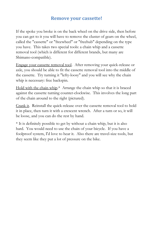## **Remove your cassette!**

If the spoke you broke is on the back wheel on the drive side, then before you can get to it you will have to remove the cluster of gears on the wheel, called the "cassette" or "freewheel" or "freehub" depending on the type you have. This takes two special tools: a chain whip and a cassette removal tool (which is different for different brands, but many are Shimano-compatible).

Engage your cassette removal tool. After removing your quick-release or axle, you should be able to fit the cassette removal tool into the middle of the cassette. Try turning it "lefty-loosy" and you will see why the chain whip is necessary: free backspin.

Hold with the chain whip.\* Arrange the chain whip so that it is braced against the cassette turning counter-clockwise. This involves the long part of the chain around to the right (pictured).

Crank it. Reinstall the quick-release over the cassette removal tool to hold it in place, then turn it with a crescent wrench. After a turn or so, it will be loose, and you can do the rest by hand.

\* It is definitely possible to get by without a chain whip, but it is also hard. You would need to use the chain of your bicycle. If you have a foolproof system, I'd love to hear it. Also there are travel-size tools, but they seem like they put a lot of pressure on the bike.